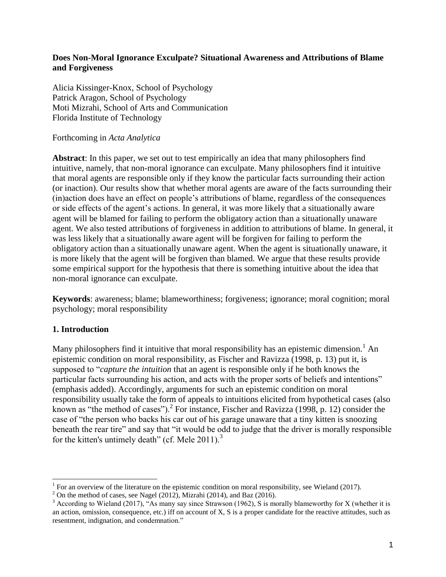### **Does Non-Moral Ignorance Exculpate? Situational Awareness and Attributions of Blame and Forgiveness**

Alicia Kissinger-Knox, School of Psychology Patrick Aragon, School of Psychology Moti Mizrahi, School of Arts and Communication Florida Institute of Technology

### Forthcoming in *Acta Analytica*

**Abstract**: In this paper, we set out to test empirically an idea that many philosophers find intuitive, namely, that non-moral ignorance can exculpate. Many philosophers find it intuitive that moral agents are responsible only if they know the particular facts surrounding their action (or inaction). Our results show that whether moral agents are aware of the facts surrounding their (in)action does have an effect on people's attributions of blame, regardless of the consequences or side effects of the agent's actions. In general, it was more likely that a situationally aware agent will be blamed for failing to perform the obligatory action than a situationally unaware agent. We also tested attributions of forgiveness in addition to attributions of blame. In general, it was less likely that a situationally aware agent will be forgiven for failing to perform the obligatory action than a situationally unaware agent. When the agent is situationally unaware, it is more likely that the agent will be forgiven than blamed. We argue that these results provide some empirical support for the hypothesis that there is something intuitive about the idea that non-moral ignorance can exculpate.

**Keywords**: awareness; blame; blameworthiness; forgiveness; ignorance; moral cognition; moral psychology; moral responsibility

# **1. Introduction**

Many philosophers find it intuitive that moral responsibility has an epistemic dimension.<sup>1</sup> An epistemic condition on moral responsibility, as Fischer and Ravizza (1998, p. 13) put it, is supposed to "*capture the intuition* that an agent is responsible only if he both knows the particular facts surrounding his action, and acts with the proper sorts of beliefs and intentions" (emphasis added). Accordingly, arguments for such an epistemic condition on moral responsibility usually take the form of appeals to intuitions elicited from hypothetical cases (also known as "the method of cases").<sup>2</sup> For instance, Fischer and Ravizza (1998, p. 12) consider the case of "the person who backs his car out of his garage unaware that a tiny kitten is snoozing beneath the rear tire" and say that "it would be odd to judge that the driver is morally responsible for the kitten's untimely death" (cf. Mele  $2011$ ).<sup>3</sup>

<sup>&</sup>lt;sup>1</sup> For an overview of the literature on the epistemic condition on moral responsibility, see Wieland (2017).

 $^2$  On the method of cases, see Nagel (2012), Mizrahi (2014), and Baz (2016).

 $3$  According to Wieland (2017), "As many say since Strawson (1962), S is morally blameworthy for X (whether it is an action, omission, consequence, etc.) iff on account of X, S is a proper candidate for the reactive attitudes, such as resentment, indignation, and condemnation."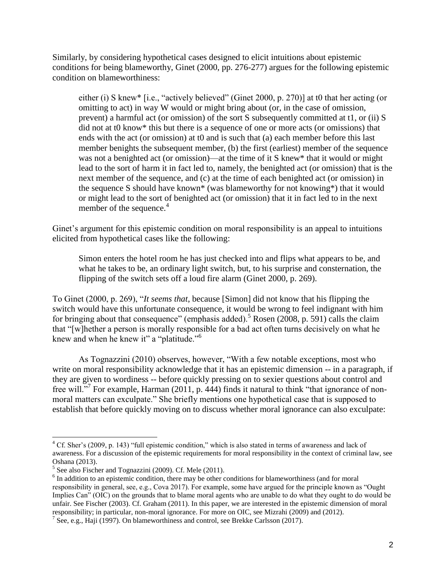Similarly, by considering hypothetical cases designed to elicit intuitions about epistemic conditions for being blameworthy, Ginet (2000, pp. 276-277) argues for the following epistemic condition on blameworthiness:

either (i) S knew\* [i.e., "actively believed" (Ginet 2000, p. 270)] at t0 that her acting (or omitting to act) in way W would or might bring about (or, in the case of omission, prevent) a harmful act (or omission) of the sort S subsequently committed at t1, or (ii) S did not at t0 know\* this but there is a sequence of one or more acts (or omissions) that ends with the act (or omission) at t0 and is such that (a) each member before this last member benights the subsequent member, (b) the first (earliest) member of the sequence was not a benighted act (or omission)—at the time of it S knew\* that it would or might lead to the sort of harm it in fact led to, namely, the benighted act (or omission) that is the next member of the sequence, and (c) at the time of each benighted act (or omission) in the sequence S should have known\* (was blameworthy for not knowing\*) that it would or might lead to the sort of benighted act (or omission) that it in fact led to in the next member of the sequence.<sup>4</sup>

Ginet's argument for this epistemic condition on moral responsibility is an appeal to intuitions elicited from hypothetical cases like the following:

Simon enters the hotel room he has just checked into and flips what appears to be, and what he takes to be, an ordinary light switch, but, to his surprise and consternation, the flipping of the switch sets off a loud fire alarm (Ginet 2000, p. 269).

To Ginet (2000, p. 269), "*It seems that*, because [Simon] did not know that his flipping the switch would have this unfortunate consequence, it would be wrong to feel indignant with him for bringing about that consequence" (emphasis added).<sup>5</sup> Rosen (2008, p. 591) calls the claim that "[w]hether a person is morally responsible for a bad act often turns decisively on what he knew and when he knew it" a "platitude."<sup>6</sup>

As Tognazzini (2010) observes, however, "With a few notable exceptions, most who write on moral responsibility acknowledge that it has an epistemic dimension -- in a paragraph, if they are given to wordiness -- before quickly pressing on to sexier questions about control and free will."<sup>7</sup> For example, Harman (2011, p. 444) finds it natural to think "that ignorance of nonmoral matters can exculpate." She briefly mentions one hypothetical case that is supposed to establish that before quickly moving on to discuss whether moral ignorance can also exculpate:

<sup>&</sup>lt;sup>4</sup> Cf. Sher's (2009, p. 143) "full epistemic condition," which is also stated in terms of awareness and lack of awareness. For a discussion of the epistemic requirements for moral responsibility in the context of criminal law, see Oshana (2013).

<sup>&</sup>lt;sup>5</sup> See also Fischer and Tognazzini (2009). Cf. Mele (2011).

 $6$  In addition to an epistemic condition, there may be other conditions for blameworthiness (and for moral responsibility in general, see, e.g., Cova 2017). For example, some have argued for the principle known as "Ought Implies Can" (OIC) on the grounds that to blame moral agents who are unable to do what they ought to do would be unfair. See Fischer (2003). Cf. Graham (2011). In this paper, we are interested in the epistemic dimension of moral responsibility; in particular, non-moral ignorance. For more on OIC, see Mizrahi (2009) and (2012).

 $^7$  See, e.g., Haji (1997). On blameworthiness and control, see Brekke Carlsson (2017).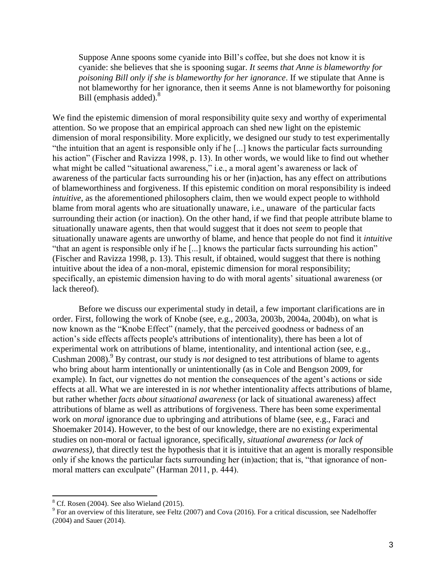Suppose Anne spoons some cyanide into Bill's coffee, but she does not know it is cyanide: she believes that she is spooning sugar. *It seems that Anne is blameworthy for poisoning Bill only if she is blameworthy for her ignorance*. If we stipulate that Anne is not blameworthy for her ignorance, then it seems Anne is not blameworthy for poisoning Bill (emphasis added).<sup>8</sup>

We find the epistemic dimension of moral responsibility quite sexy and worthy of experimental attention. So we propose that an empirical approach can shed new light on the epistemic dimension of moral responsibility. More explicitly, we designed our study to test experimentally "the intuition that an agent is responsible only if he [...] knows the particular facts surrounding his action" (Fischer and Ravizza 1998, p. 13). In other words, we would like to find out whether what might be called "situational awareness," i.e., a moral agent's awareness or lack of awareness of the particular facts surrounding his or her (in)action, has any effect on attributions of blameworthiness and forgiveness. If this epistemic condition on moral responsibility is indeed *intuitive*, as the aforementioned philosophers claim, then we would expect people to withhold blame from moral agents who are situationally unaware, i.e., unaware of the particular facts surrounding their action (or inaction). On the other hand, if we find that people attribute blame to situationally unaware agents, then that would suggest that it does not *seem* to people that situationally unaware agents are unworthy of blame, and hence that people do not find it *intuitive*  "that an agent is responsible only if he [...] knows the particular facts surrounding his action" (Fischer and Ravizza 1998, p. 13). This result, if obtained, would suggest that there is nothing intuitive about the idea of a non-moral, epistemic dimension for moral responsibility; specifically, an epistemic dimension having to do with moral agents' situational awareness (or lack thereof).

Before we discuss our experimental study in detail, a few important clarifications are in order. First, following the work of Knobe (see, e.g., 2003a, 2003b, 2004a, 2004b), on what is now known as the "Knobe Effect" (namely, that the perceived goodness or badness of an action's side effects affects people's attributions of intentionality), there has been a lot of experimental work on attributions of blame, intentionality, and intentional action (see, e.g., Cushman 2008).<sup>9</sup> By contrast, our study is *not* designed to test attributions of blame to agents who bring about harm intentionally or unintentionally (as in Cole and Bengson 2009, for example). In fact, our vignettes do not mention the consequences of the agent's actions or side effects at all. What we are interested in is *not* whether intentionality affects attributions of blame, but rather whether *facts about situational awareness* (or lack of situational awareness) affect attributions of blame as well as attributions of forgiveness. There has been some experimental work on *moral* ignorance due to upbringing and attributions of blame (see, e.g., Faraci and Shoemaker 2014). However, to the best of our knowledge, there are no existing experimental studies on non-moral or factual ignorance, specifically, *situational awareness (or lack of awareness)*, that directly test the hypothesis that it is intuitive that an agent is morally responsible only if she knows the particular facts surrounding her (in)action; that is, "that ignorance of nonmoral matters can exculpate" (Harman 2011, p. 444).

 $\overline{a}$ 

 $8$  Cf. Rosen (2004). See also Wieland (2015).

 $9^9$  For an overview of this literature, see Feltz (2007) and Cova (2016). For a critical discussion, see Nadelhoffer (2004) and Sauer (2014).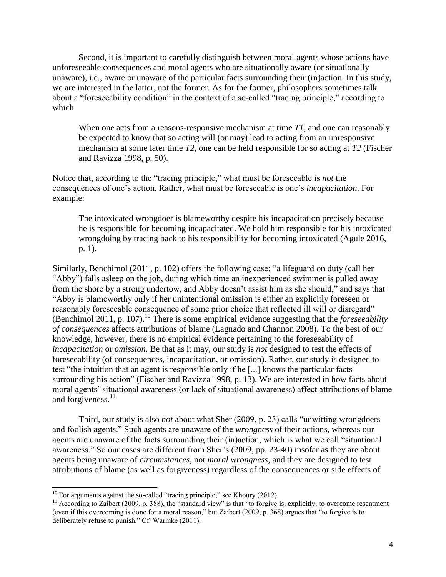Second, it is important to carefully distinguish between moral agents whose actions have unforeseeable consequences and moral agents who are situationally aware (or situationally unaware), i.e., aware or unaware of the particular facts surrounding their (in)action. In this study, we are interested in the latter, not the former. As for the former, philosophers sometimes talk about a "foreseeability condition" in the context of a so-called "tracing principle," according to which

When one acts from a reasons-responsive mechanism at time *T1*, and one can reasonably be expected to know that so acting will (or may) lead to acting from an unresponsive mechanism at some later time *T2*, one can be held responsible for so acting at *T2* (Fischer and Ravizza 1998, p. 50).

Notice that, according to the "tracing principle," what must be foreseeable is *not* the consequences of one's action. Rather, what must be foreseeable is one's *incapacitation*. For example:

The intoxicated wrongdoer is blameworthy despite his incapacitation precisely because he is responsible for becoming incapacitated. We hold him responsible for his intoxicated wrongdoing by tracing back to his responsibility for becoming intoxicated (Agule 2016, p. 1).

Similarly, Benchimol (2011, p. 102) offers the following case: "a lifeguard on duty (call her "Abby") falls asleep on the job, during which time an inexperienced swimmer is pulled away from the shore by a strong undertow, and Abby doesn't assist him as she should," and says that "Abby is blameworthy only if her unintentional omission is either an explicitly foreseen or reasonably foreseeable consequence of some prior choice that reflected ill will or disregard" (Benchimol 2011, p. 107).<sup>10</sup> There is some empirical evidence suggesting that the *foreseeability of consequences* affects attributions of blame (Lagnado and Channon 2008). To the best of our knowledge, however, there is no empirical evidence pertaining to the foreseeability of *incapacitation* or *omission*. Be that as it may, our study is *not* designed to test the effects of foreseeability (of consequences, incapacitation, or omission). Rather, our study is designed to test "the intuition that an agent is responsible only if he [...] knows the particular facts surrounding his action" (Fischer and Ravizza 1998, p. 13). We are interested in how facts about moral agents' situational awareness (or lack of situational awareness) affect attributions of blame and forgiveness.<sup>11</sup>

Third, our study is also *not* about what Sher (2009, p. 23) calls "unwitting wrongdoers and foolish agents." Such agents are unaware of the *wrongness* of their actions, whereas our agents are unaware of the facts surrounding their (in)action, which is what we call "situational awareness." So our cases are different from Sher's (2009, pp. 23-40) insofar as they are about agents being unaware of *circumstances*, not *moral wrongness*, and they are designed to test attributions of blame (as well as forgiveness) regardless of the consequences or side effects of

 $10$  For arguments against the so-called "tracing principle," see Khoury (2012).

<sup>&</sup>lt;sup>11</sup> According to Zaibert (2009, p. 388), the "standard view" is that "to forgive is, explicitly, to overcome resentment (even if this overcoming is done for a moral reason," but Zaibert (2009, p. 368) argues that "to forgive is to deliberately refuse to punish." Cf. Warmke (2011).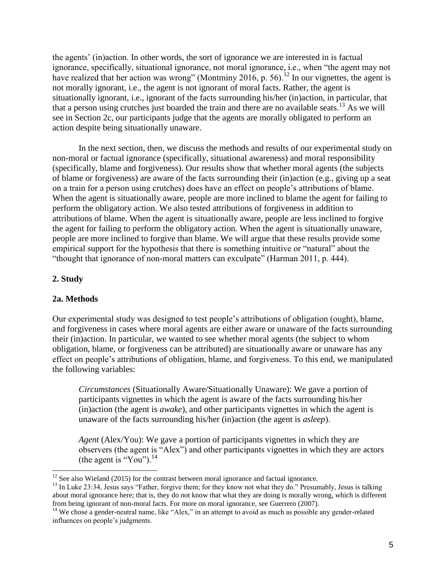the agents' (in)action. In other words, the sort of ignorance we are interested in is factual ignorance, specifically, situational ignorance, not moral ignorance, i.e., when "the agent may not have realized that her action was wrong" (Montminy 2016, p. 56).<sup>12</sup> In our vignettes, the agent is not morally ignorant, i.e., the agent is not ignorant of moral facts. Rather, the agent is situationally ignorant, i.e., ignorant of the facts surrounding his/her (in)action, in particular, that that a person using crutches just boarded the train and there are no available seats.<sup>13</sup> As we will see in Section 2c, our participants judge that the agents are morally obligated to perform an action despite being situationally unaware.

In the next section, then, we discuss the methods and results of our experimental study on non-moral or factual ignorance (specifically, situational awareness) and moral responsibility (specifically, blame and forgiveness). Our results show that whether moral agents (the subjects of blame or forgiveness) are aware of the facts surrounding their (in)action (e.g., giving up a seat on a train for a person using crutches) does have an effect on people's attributions of blame. When the agent is situationally aware, people are more inclined to blame the agent for failing to perform the obligatory action. We also tested attributions of forgiveness in addition to attributions of blame. When the agent is situationally aware, people are less inclined to forgive the agent for failing to perform the obligatory action. When the agent is situationally unaware, people are more inclined to forgive than blame. We will argue that these results provide some empirical support for the hypothesis that there is something intuitive or "natural" about the "thought that ignorance of non-moral matters can exculpate" (Harman 2011, p. 444).

#### **2. Study**

 $\overline{a}$ 

#### **2a. Methods**

Our experimental study was designed to test people's attributions of obligation (ought), blame, and forgiveness in cases where moral agents are either aware or unaware of the facts surrounding their (in)action. In particular, we wanted to see whether moral agents (the subject to whom obligation, blame, or forgiveness can be attributed) are situationally aware or unaware has any effect on people's attributions of obligation, blame, and forgiveness. To this end, we manipulated the following variables:

*Circumstances* (Situationally Aware/Situationally Unaware): We gave a portion of participants vignettes in which the agent is aware of the facts surrounding his/her (in)action (the agent is *awake*), and other participants vignettes in which the agent is unaware of the facts surrounding his/her (in)action (the agent is *asleep*).

*Agent* (Alex/You): We gave a portion of participants vignettes in which they are observers (the agent is "Alex") and other participants vignettes in which they are actors (the agent is "You"). $^{14}$ 

 $12$  See also Wieland (2015) for the contrast between moral ignorance and factual ignorance.

<sup>&</sup>lt;sup>13</sup> In Luke 23:34, Jesus says "Father, forgive them; for they know not what they do." Presumably, Jesus is talking about moral ignorance here; that is, they do not know that what they are doing is morally wrong, which is different from being ignorant of non-moral facts. For more on moral ignorance, see Guerrero (2007).

<sup>&</sup>lt;sup>14</sup> We chose a gender-neutral name, like "Alex," in an attempt to avoid as much as possible any gender-related influences on people's judgments.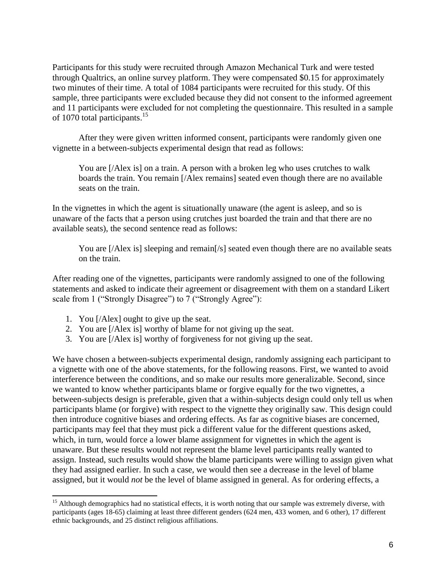Participants for this study were recruited through Amazon Mechanical Turk and were tested through Qualtrics, an online survey platform. They were compensated \$0.15 for approximately two minutes of their time. A total of 1084 participants were recruited for this study. Of this sample, three participants were excluded because they did not consent to the informed agreement and 11 participants were excluded for not completing the questionnaire. This resulted in a sample of 1070 total participants.<sup>15</sup>

After they were given written informed consent, participants were randomly given one vignette in a between-subjects experimental design that read as follows:

You are [/Alex is] on a train. A person with a broken leg who uses crutches to walk boards the train. You remain [/Alex remains] seated even though there are no available seats on the train.

In the vignettes in which the agent is situationally unaware (the agent is asleep, and so is unaware of the facts that a person using crutches just boarded the train and that there are no available seats), the second sentence read as follows:

You are [/Alex is] sleeping and remain[/s] seated even though there are no available seats on the train.

After reading one of the vignettes, participants were randomly assigned to one of the following statements and asked to indicate their agreement or disagreement with them on a standard Likert scale from 1 ("Strongly Disagree") to 7 ("Strongly Agree"):

- 1. You [/Alex] ought to give up the seat.
- 2. You are [/Alex is] worthy of blame for not giving up the seat.
- 3. You are [/Alex is] worthy of forgiveness for not giving up the seat.

We have chosen a between-subjects experimental design, randomly assigning each participant to a vignette with one of the above statements, for the following reasons. First, we wanted to avoid interference between the conditions, and so make our results more generalizable. Second, since we wanted to know whether participants blame or forgive equally for the two vignettes, a between-subjects design is preferable, given that a within-subjects design could only tell us when participants blame (or forgive) with respect to the vignette they originally saw. This design could then introduce cognitive biases and ordering effects. As far as cognitive biases are concerned, participants may feel that they must pick a different value for the different questions asked, which, in turn, would force a lower blame assignment for vignettes in which the agent is unaware. But these results would not represent the blame level participants really wanted to assign. Instead, such results would show the blame participants were willing to assign given what they had assigned earlier. In such a case, we would then see a decrease in the level of blame assigned, but it would *not* be the level of blame assigned in general. As for ordering effects, a

 $\overline{a}$ <sup>15</sup> Although demographics had no statistical effects, it is worth noting that our sample was extremely diverse, with participants (ages 18-65) claiming at least three different genders (624 men, 433 women, and 6 other), 17 different ethnic backgrounds, and 25 distinct religious affiliations.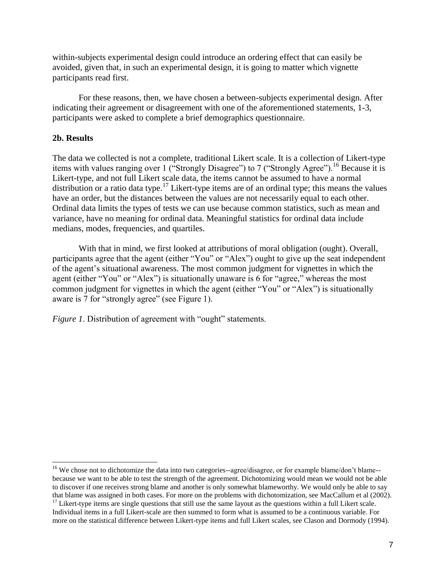within-subjects experimental design could introduce an ordering effect that can easily be avoided, given that, in such an experimental design, it is going to matter which vignette participants read first.

For these reasons, then, we have chosen a between-subjects experimental design. After indicating their agreement or disagreement with one of the aforementioned statements, 1-3, participants were asked to complete a brief demographics questionnaire.

### **2b. Results**

The data we collected is not a complete, traditional Likert scale. It is a collection of Likert-type items with values ranging over 1 ("Strongly Disagree") to 7 ("Strongly Agree").<sup>16</sup> Because it is Likert-type, and not full Likert scale data, the items cannot be assumed to have a normal distribution or a ratio data type.<sup>17</sup> Likert-type items are of an ordinal type; this means the values have an order, but the distances between the values are not necessarily equal to each other. Ordinal data limits the types of tests we can use because common statistics, such as mean and variance, have no meaning for ordinal data. Meaningful statistics for ordinal data include medians, modes, frequencies, and quartiles.

With that in mind, we first looked at attributions of moral obligation (ought). Overall, participants agree that the agent (either "You" or "Alex") ought to give up the seat independent of the agent's situational awareness. The most common judgment for vignettes in which the agent (either "You" or "Alex") is situationally unaware is 6 for "agree," whereas the most common judgment for vignettes in which the agent (either "You" or "Alex") is situationally aware is 7 for "strongly agree" (see Figure 1).

*Figure 1*. Distribution of agreement with "ought" statements.

<sup>&</sup>lt;sup>16</sup> We chose not to dichotomize the data into two categories--agree/disagree, or for example blame/don't blame-because we want to be able to test the strength of the agreement. Dichotomizing would mean we would not be able to discover if one receives strong blame and another is only somewhat blameworthy. We would only be able to say that blame was assigned in both cases. For more on the problems with dichotomization, see MacCallum et al (2002).

 $17$  Likert-type items are single questions that still use the same layout as the questions within a full Likert scale. Individual items in a full Likert-scale are then summed to form what is assumed to be a continuous variable. For more on the statistical difference between Likert-type items and full Likert scales, see Clason and Dormody (1994).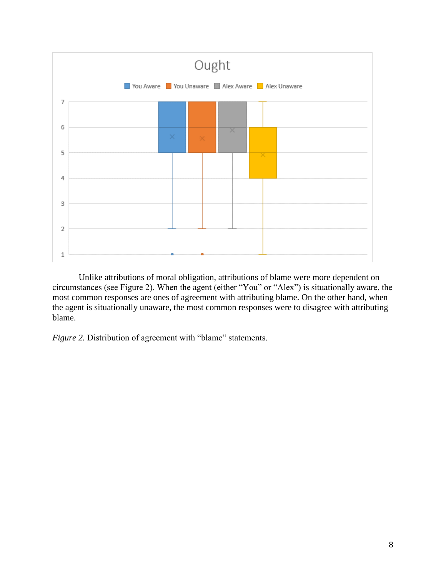

Unlike attributions of moral obligation, attributions of blame were more dependent on circumstances (see Figure 2). When the agent (either "You" or "Alex") is situationally aware, the most common responses are ones of agreement with attributing blame. On the other hand, when the agent is situationally unaware, the most common responses were to disagree with attributing blame.

*Figure 2.* Distribution of agreement with "blame" statements.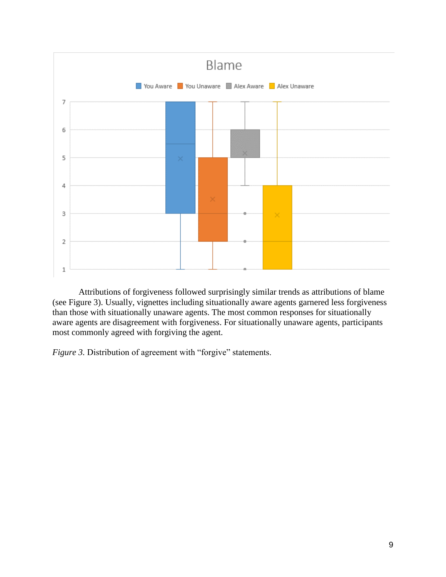

Attributions of forgiveness followed surprisingly similar trends as attributions of blame (see Figure 3). Usually, vignettes including situationally aware agents garnered less forgiveness than those with situationally unaware agents. The most common responses for situationally aware agents are disagreement with forgiveness. For situationally unaware agents, participants most commonly agreed with forgiving the agent.

*Figure 3.* Distribution of agreement with "forgive" statements.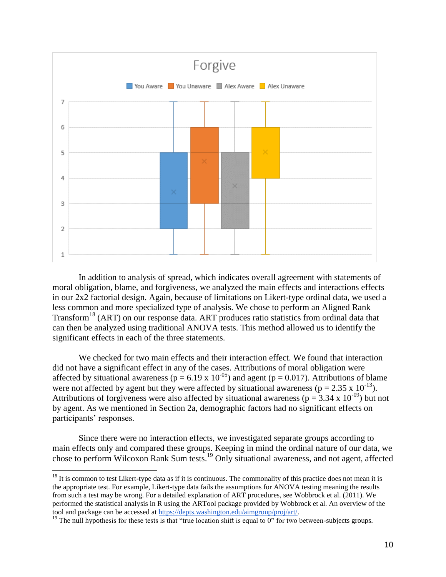

In addition to analysis of spread, which indicates overall agreement with statements of moral obligation, blame, and forgiveness, we analyzed the main effects and interactions effects in our 2x2 factorial design. Again, because of limitations on Likert-type ordinal data, we used a less common and more specialized type of analysis. We chose to perform an Aligned Rank Transform<sup>18</sup> (ART) on our response data. ART produces ratio statistics from ordinal data that can then be analyzed using traditional ANOVA tests. This method allowed us to identify the significant effects in each of the three statements.

We checked for two main effects and their interaction effect. We found that interaction did not have a significant effect in any of the cases. Attributions of moral obligation were affected by situational awareness ( $p = 6.19 \times 10^{-05}$ ) and agent ( $p = 0.017$ ). Attributions of blame were not affected by agent but they were affected by situational awareness ( $p = 2.35 \times 10^{-13}$ ). Attributions of forgiveness were also affected by situational awareness ( $p = 3.34 \times 10^{-09}$ ) but not by agent. As we mentioned in Section 2a, demographic factors had no significant effects on participants' responses.

Since there were no interaction effects, we investigated separate groups according to main effects only and compared these groups. Keeping in mind the ordinal nature of our data, we chose to perform Wilcoxon Rank Sum tests.<sup>19</sup> Only situational awareness, and not agent, affected

 $\overline{a}$ 

 $18$  It is common to test Likert-type data as if it is continuous. The commonality of this practice does not mean it is the appropriate test. For example, Likert-type data fails the assumptions for ANOVA testing meaning the results from such a test may be wrong. For a detailed explanation of ART procedures, see Wobbrock et al. (2011). We performed the statistical analysis in R using the ARTool package provided by Wobbrock et al. An overview of the tool and package can be accessed at [https://depts.washington.edu/aimgroup/proj/art/.](https://depts.washington.edu/aimgroup/proj/art/)

<sup>&</sup>lt;sup>19</sup> The null hypothesis for these tests is that "true location shift is equal to  $0$ " for two between-subjects groups.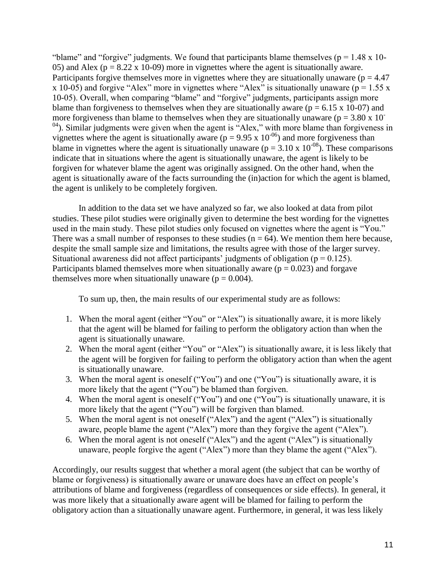"blame" and "forgive" judgments. We found that participants blame themselves ( $p = 1.48 \times 10$ -05) and Alex ( $p = 8.22$  x 10-09) more in vignettes where the agent is situationally aware. Participants forgive themselves more in vignettes where they are situationally unaware ( $p = 4.47$ ) x 10-05) and forgive "Alex" more in vignettes where "Alex" is situationally unaware ( $p = 1.55$  x 10-05). Overall, when comparing "blame" and "forgive" judgments, participants assign more blame than forgiveness to themselves when they are situationally aware ( $p = 6.15 \times 10^{-10}$ ) and more forgiveness than blame to themselves when they are situationally unaware ( $p = 3.80 \times 10^{-7}$ )  $<sup>04</sup>$ ). Similar judgments were given when the agent is "Alex," with more blame than forgiveness in</sup> vignettes where the agent is situationally aware ( $p = 9.95 \times 10^{-06}$ ) and more forgiveness than blame in vignettes where the agent is situationally unaware ( $p = 3.10 \times 10^{-08}$ ). These comparisons indicate that in situations where the agent is situationally unaware, the agent is likely to be forgiven for whatever blame the agent was originally assigned. On the other hand, when the agent is situationally aware of the facts surrounding the (in)action for which the agent is blamed, the agent is unlikely to be completely forgiven.

In addition to the data set we have analyzed so far, we also looked at data from pilot studies. These pilot studies were originally given to determine the best wording for the vignettes used in the main study. These pilot studies only focused on vignettes where the agent is "You." There was a small number of responses to these studies ( $n = 64$ ). We mention them here because, despite the small sample size and limitations, the results agree with those of the larger survey. Situational awareness did not affect participants' judgments of obligation ( $p = 0.125$ ). Participants blamed themselves more when situationally aware  $(p = 0.023)$  and forgave themselves more when situationally unaware ( $p = 0.004$ ).

To sum up, then, the main results of our experimental study are as follows:

- 1. When the moral agent (either "You" or "Alex") is situationally aware, it is more likely that the agent will be blamed for failing to perform the obligatory action than when the agent is situationally unaware.
- 2. When the moral agent (either "You" or "Alex") is situationally aware, it is less likely that the agent will be forgiven for failing to perform the obligatory action than when the agent is situationally unaware.
- 3. When the moral agent is oneself ("You") and one ("You") is situationally aware, it is more likely that the agent ("You") be blamed than forgiven.
- 4. When the moral agent is oneself ("You") and one ("You") is situationally unaware, it is more likely that the agent ("You") will be forgiven than blamed.
- 5. When the moral agent is not oneself ("Alex") and the agent ("Alex") is situationally aware, people blame the agent ("Alex") more than they forgive the agent ("Alex").
- 6. When the moral agent is not oneself ("Alex") and the agent ("Alex") is situationally unaware, people forgive the agent ("Alex") more than they blame the agent ("Alex").

Accordingly, our results suggest that whether a moral agent (the subject that can be worthy of blame or forgiveness) is situationally aware or unaware does have an effect on people's attributions of blame and forgiveness (regardless of consequences or side effects). In general, it was more likely that a situationally aware agent will be blamed for failing to perform the obligatory action than a situationally unaware agent. Furthermore, in general, it was less likely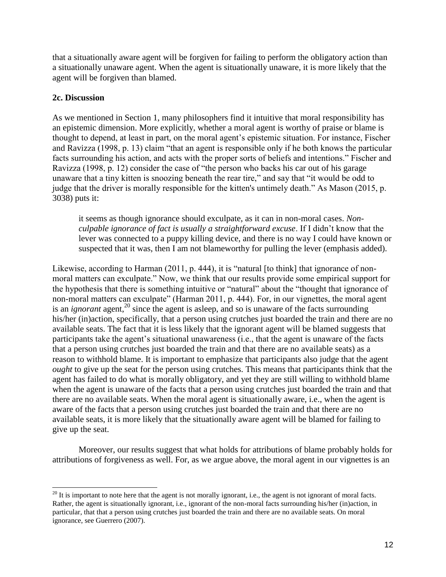that a situationally aware agent will be forgiven for failing to perform the obligatory action than a situationally unaware agent. When the agent is situationally unaware, it is more likely that the agent will be forgiven than blamed.

# **2c. Discussion**

As we mentioned in Section 1, many philosophers find it intuitive that moral responsibility has an epistemic dimension. More explicitly, whether a moral agent is worthy of praise or blame is thought to depend, at least in part, on the moral agent's epistemic situation. For instance, Fischer and Ravizza (1998, p. 13) claim "that an agent is responsible only if he both knows the particular facts surrounding his action, and acts with the proper sorts of beliefs and intentions." Fischer and Ravizza (1998, p. 12) consider the case of "the person who backs his car out of his garage unaware that a tiny kitten is snoozing beneath the rear tire," and say that "it would be odd to judge that the driver is morally responsible for the kitten's untimely death." As Mason (2015, p. 3038) puts it:

it seems as though ignorance should exculpate, as it can in non-moral cases. *Nonculpable ignorance of fact is usually a straightforward excuse*. If I didn't know that the lever was connected to a puppy killing device, and there is no way I could have known or suspected that it was, then I am not blameworthy for pulling the lever (emphasis added).

Likewise, according to Harman (2011, p. 444), it is "natural [to think] that ignorance of nonmoral matters can exculpate." Now, we think that our results provide some empirical support for the hypothesis that there is something intuitive or "natural" about the "thought that ignorance of non-moral matters can exculpate" (Harman 2011, p. 444). For, in our vignettes, the moral agent is an *ignorant* agent,<sup>20</sup> since the agent is asleep, and so is unaware of the facts surrounding his/her (in)action, specifically, that a person using crutches just boarded the train and there are no available seats. The fact that it is less likely that the ignorant agent will be blamed suggests that participants take the agent's situational unawareness (i.e., that the agent is unaware of the facts that a person using crutches just boarded the train and that there are no available seats) as a reason to withhold blame. It is important to emphasize that participants also judge that the agent *ought* to give up the seat for the person using crutches. This means that participants think that the agent has failed to do what is morally obligatory, and yet they are still willing to withhold blame when the agent is unaware of the facts that a person using crutches just boarded the train and that there are no available seats. When the moral agent is situationally aware, i.e., when the agent is aware of the facts that a person using crutches just boarded the train and that there are no available seats, it is more likely that the situationally aware agent will be blamed for failing to give up the seat.

Moreover, our results suggest that what holds for attributions of blame probably holds for attributions of forgiveness as well. For, as we argue above, the moral agent in our vignettes is an

  $^{20}$  It is important to note here that the agent is not morally ignorant, i.e., the agent is not ignorant of moral facts. Rather, the agent is situationally ignorant, i.e., ignorant of the non-moral facts surrounding his/her (in)action, in particular, that that a person using crutches just boarded the train and there are no available seats. On moral ignorance, see Guerrero (2007).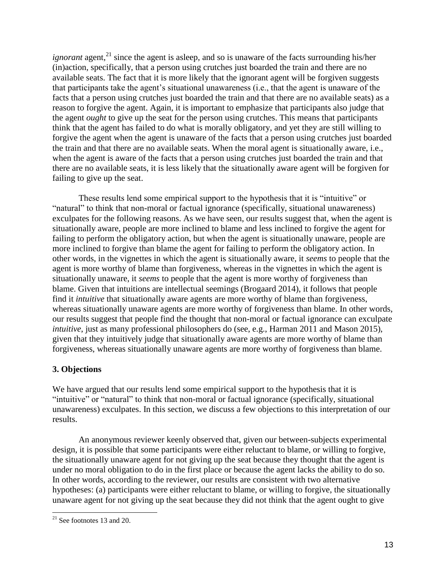*ignorant* agent, $^{21}$  since the agent is asleep, and so is unaware of the facts surrounding his/her (in)action, specifically, that a person using crutches just boarded the train and there are no available seats. The fact that it is more likely that the ignorant agent will be forgiven suggests that participants take the agent's situational unawareness (i.e., that the agent is unaware of the facts that a person using crutches just boarded the train and that there are no available seats) as a reason to forgive the agent. Again, it is important to emphasize that participants also judge that the agent *ought* to give up the seat for the person using crutches. This means that participants think that the agent has failed to do what is morally obligatory, and yet they are still willing to forgive the agent when the agent is unaware of the facts that a person using crutches just boarded the train and that there are no available seats. When the moral agent is situationally aware, i.e., when the agent is aware of the facts that a person using crutches just boarded the train and that there are no available seats, it is less likely that the situationally aware agent will be forgiven for failing to give up the seat.

These results lend some empirical support to the hypothesis that it is "intuitive" or "natural" to think that non-moral or factual ignorance (specifically, situational unawareness) exculpates for the following reasons. As we have seen, our results suggest that, when the agent is situationally aware, people are more inclined to blame and less inclined to forgive the agent for failing to perform the obligatory action, but when the agent is situationally unaware, people are more inclined to forgive than blame the agent for failing to perform the obligatory action. In other words, in the vignettes in which the agent is situationally aware, it *seems* to people that the agent is more worthy of blame than forgiveness, whereas in the vignettes in which the agent is situationally unaware, it *seems* to people that the agent is more worthy of forgiveness than blame. Given that intuitions are intellectual seemings (Brogaard 2014), it follows that people find it *intuitive* that situationally aware agents are more worthy of blame than forgiveness, whereas situationally unaware agents are more worthy of forgiveness than blame. In other words, our results suggest that people find the thought that non-moral or factual ignorance can exculpate *intuitive*, just as many professional philosophers do (see, e.g., Harman 2011 and Mason 2015), given that they intuitively judge that situationally aware agents are more worthy of blame than forgiveness, whereas situationally unaware agents are more worthy of forgiveness than blame.

# **3. Objections**

We have argued that our results lend some empirical support to the hypothesis that it is "intuitive" or "natural" to think that non-moral or factual ignorance (specifically, situational unawareness) exculpates. In this section, we discuss a few objections to this interpretation of our results.

An anonymous reviewer keenly observed that, given our between-subjects experimental design, it is possible that some participants were either reluctant to blame, or willing to forgive, the situationally unaware agent for not giving up the seat because they thought that the agent is under no moral obligation to do in the first place or because the agent lacks the ability to do so. In other words, according to the reviewer, our results are consistent with two alternative hypotheses: (a) participants were either reluctant to blame, or willing to forgive, the situationally unaware agent for not giving up the seat because they did not think that the agent ought to give

  $21$  See footnotes 13 and 20.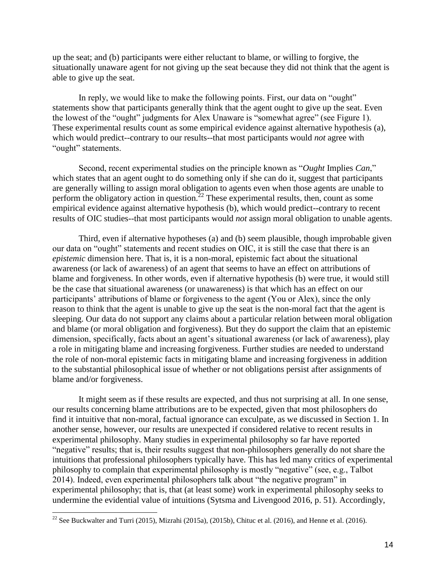up the seat; and (b) participants were either reluctant to blame, or willing to forgive, the situationally unaware agent for not giving up the seat because they did not think that the agent is able to give up the seat.

In reply, we would like to make the following points. First, our data on "ought" statements show that participants generally think that the agent ought to give up the seat. Even the lowest of the "ought" judgments for Alex Unaware is "somewhat agree" (see Figure 1). These experimental results count as some empirical evidence against alternative hypothesis (a), which would predict--contrary to our results--that most participants would *not* agree with "ought" statements.

Second, recent experimental studies on the principle known as "*Ought* Implies *Can*," which states that an agent ought to do something only if she can do it, suggest that participants are generally willing to assign moral obligation to agents even when those agents are unable to perform the obligatory action in question.<sup>22</sup> These experimental results, then, count as some empirical evidence against alternative hypothesis (b), which would predict--contrary to recent results of OIC studies--that most participants would *not* assign moral obligation to unable agents.

Third, even if alternative hypotheses (a) and (b) seem plausible, though improbable given our data on "ought" statements and recent studies on OIC, it is still the case that there is an *epistemic* dimension here. That is, it is a non-moral, epistemic fact about the situational awareness (or lack of awareness) of an agent that seems to have an effect on attributions of blame and forgiveness. In other words, even if alternative hypothesis (b) were true, it would still be the case that situational awareness (or unawareness) is that which has an effect on our participants' attributions of blame or forgiveness to the agent (You or Alex), since the only reason to think that the agent is unable to give up the seat is the non-moral fact that the agent is sleeping. Our data do not support any claims about a particular relation between moral obligation and blame (or moral obligation and forgiveness). But they do support the claim that an epistemic dimension, specifically, facts about an agent's situational awareness (or lack of awareness), play a role in mitigating blame and increasing forgiveness. Further studies are needed to understand the role of non-moral epistemic facts in mitigating blame and increasing forgiveness in addition to the substantial philosophical issue of whether or not obligations persist after assignments of blame and/or forgiveness.

It might seem as if these results are expected, and thus not surprising at all. In one sense, our results concerning blame attributions are to be expected, given that most philosophers do find it intuitive that non-moral, factual ignorance can exculpate, as we discussed in Section 1. In another sense, however, our results are unexpected if considered relative to recent results in experimental philosophy. Many studies in experimental philosophy so far have reported "negative" results; that is, their results suggest that non-philosophers generally do not share the intuitions that professional philosophers typically have. This has led many critics of experimental philosophy to complain that experimental philosophy is mostly "negative" (see, e.g., Talbot 2014). Indeed, even experimental philosophers talk about "the negative program" in experimental philosophy; that is, that (at least some) work in experimental philosophy seeks to undermine the evidential value of intuitions (Sytsma and Livengood 2016, p. 51). Accordingly,

<sup>&</sup>lt;sup>22</sup> See Buckwalter and Turri (2015), Mizrahi (2015a), (2015b), Chituc et al. (2016), and Henne et al. (2016).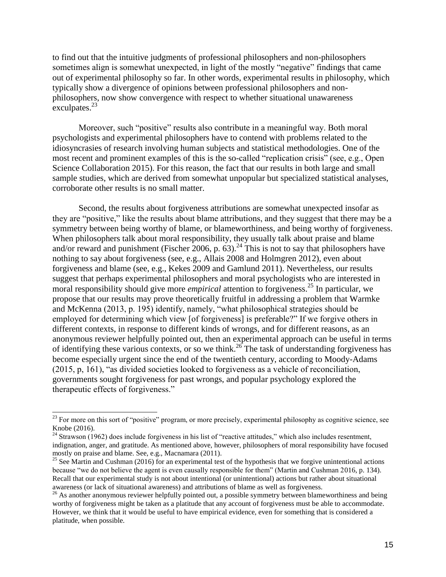to find out that the intuitive judgments of professional philosophers and non-philosophers sometimes align is somewhat unexpected, in light of the mostly "negative" findings that came out of experimental philosophy so far. In other words, experimental results in philosophy, which typically show a divergence of opinions between professional philosophers and nonphilosophers, now show convergence with respect to whether situational unawareness exculpates. $^{23}$ 

Moreover, such "positive" results also contribute in a meaningful way. Both moral psychologists and experimental philosophers have to contend with problems related to the idiosyncrasies of research involving human subjects and statistical methodologies. One of the most recent and prominent examples of this is the so-called "replication crisis" (see, e.g., Open Science Collaboration 2015). For this reason, the fact that our results in both large and small sample studies, which are derived from somewhat unpopular but specialized statistical analyses, corroborate other results is no small matter.

Second, the results about forgiveness attributions are somewhat unexpected insofar as they are "positive," like the results about blame attributions, and they suggest that there may be a symmetry between being worthy of blame, or blameworthiness, and being worthy of forgiveness. When philosophers talk about moral responsibility, they usually talk about praise and blame and/or reward and punishment (Fischer 2006, p.  $63$ ).<sup>24</sup> This is not to say that philosophers have nothing to say about forgiveness (see, e.g., Allais 2008 and Holmgren 2012), even about forgiveness and blame (see, e.g., Kekes 2009 and Gamlund 2011). Nevertheless, our results suggest that perhaps experimental philosophers and moral psychologists who are interested in moral responsibility should give more *empirical* attention to forgiveness.<sup>25</sup> In particular, we propose that our results may prove theoretically fruitful in addressing a problem that Warmke and McKenna (2013, p. 195) identify, namely, "what philosophical strategies should be employed for determining which view [of forgiveness] is preferable?" If we forgive others in different contexts, in response to different kinds of wrongs, and for different reasons, as an anonymous reviewer helpfully pointed out, then an experimental approach can be useful in terms of identifying these various contexts, or so we think.<sup>26</sup> The task of understanding forgiveness has become especially urgent since the end of the twentieth century, according to Moody-Adams (2015, p, 161), "as divided societies looked to forgiveness as a vehicle of reconciliation, governments sought forgiveness for past wrongs, and popular psychology explored the therapeutic effects of forgiveness."

 $^{23}$  For more on this sort of "positive" program, or more precisely, experimental philosophy as cognitive science, see Knobe (2016).

 $24$  Strawson (1962) does include forgiveness in his list of "reactive attitudes," which also includes resentment, indignation, anger, and gratitude. As mentioned above, however, philosophers of moral responsibility have focused mostly on praise and blame. See, e.g., Macnamara (2011).

<sup>&</sup>lt;sup>25</sup> See Martin and Cushman (2016) for an experimental test of the hypothesis that we forgive unintentional actions because "we do not believe the agent is even causally responsible for them" (Martin and Cushman 2016, p. 134). Recall that our experimental study is not about intentional (or unintentional) actions but rather about situational awareness (or lack of situational awareness) and attributions of blame as well as forgiveness.

<sup>&</sup>lt;sup>26</sup> As another anonymous reviewer helpfully pointed out, a possible symmetry between blameworthiness and being worthy of forgiveness might be taken as a platitude that any account of forgiveness must be able to accommodate. However, we think that it would be useful to have empirical evidence, even for something that is considered a platitude, when possible.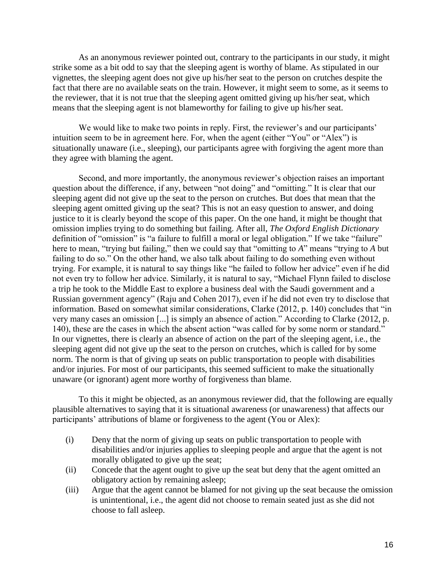As an anonymous reviewer pointed out, contrary to the participants in our study, it might strike some as a bit odd to say that the sleeping agent is worthy of blame. As stipulated in our vignettes, the sleeping agent does not give up his/her seat to the person on crutches despite the fact that there are no available seats on the train. However, it might seem to some, as it seems to the reviewer, that it is not true that the sleeping agent omitted giving up his/her seat, which means that the sleeping agent is not blameworthy for failing to give up his/her seat.

We would like to make two points in reply. First, the reviewer's and our participants' intuition seem to be in agreement here. For, when the agent (either "You" or "Alex") is situationally unaware (i.e., sleeping), our participants agree with forgiving the agent more than they agree with blaming the agent.

Second, and more importantly, the anonymous reviewer's objection raises an important question about the difference, if any, between "not doing" and "omitting." It is clear that our sleeping agent did not give up the seat to the person on crutches. But does that mean that the sleeping agent omitted giving up the seat? This is not an easy question to answer, and doing justice to it is clearly beyond the scope of this paper. On the one hand, it might be thought that omission implies trying to do something but failing. After all, *The Oxford English Dictionary* definition of "omission" is "a failure to fulfill a moral or legal obligation." If we take "failure" here to mean, "trying but failing," then we could say that "omitting to *A*" means "trying to *A* but failing to do so." On the other hand, we also talk about failing to do something even without trying. For example, it is natural to say things like "he failed to follow her advice" even if he did not even try to follow her advice. Similarly, it is natural to say, "Michael Flynn failed to disclose a trip he took to the Middle East to explore a business deal with the Saudi government and a Russian government agency" (Raju and Cohen 2017), even if he did not even try to disclose that information. Based on somewhat similar considerations, Clarke (2012, p. 140) concludes that "in very many cases an omission [...] is simply an absence of action." According to Clarke (2012, p. 140), these are the cases in which the absent action "was called for by some norm or standard." In our vignettes, there is clearly an absence of action on the part of the sleeping agent, i.e., the sleeping agent did not give up the seat to the person on crutches, which is called for by some norm. The norm is that of giving up seats on public transportation to people with disabilities and/or injuries. For most of our participants, this seemed sufficient to make the situationally unaware (or ignorant) agent more worthy of forgiveness than blame.

To this it might be objected, as an anonymous reviewer did, that the following are equally plausible alternatives to saying that it is situational awareness (or unawareness) that affects our participants' attributions of blame or forgiveness to the agent (You or Alex):

- (i) Deny that the norm of giving up seats on public transportation to people with disabilities and/or injuries applies to sleeping people and argue that the agent is not morally obligated to give up the seat;
- (ii) Concede that the agent ought to give up the seat but deny that the agent omitted an obligatory action by remaining asleep;
- (iii) Argue that the agent cannot be blamed for not giving up the seat because the omission is unintentional, i.e., the agent did not choose to remain seated just as she did not choose to fall asleep.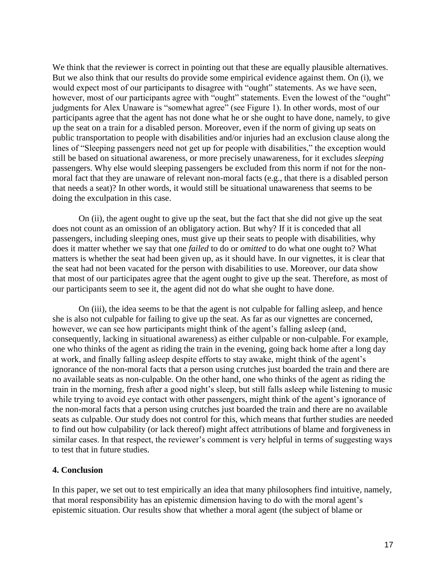We think that the reviewer is correct in pointing out that these are equally plausible alternatives. But we also think that our results do provide some empirical evidence against them. On (i), we would expect most of our participants to disagree with "ought" statements. As we have seen, however, most of our participants agree with "ought" statements. Even the lowest of the "ought" judgments for Alex Unaware is "somewhat agree" (see Figure 1). In other words, most of our participants agree that the agent has not done what he or she ought to have done, namely, to give up the seat on a train for a disabled person. Moreover, even if the norm of giving up seats on public transportation to people with disabilities and/or injuries had an exclusion clause along the lines of "Sleeping passengers need not get up for people with disabilities," the exception would still be based on situational awareness, or more precisely unawareness, for it excludes *sleeping*  passengers. Why else would sleeping passengers be excluded from this norm if not for the nonmoral fact that they are unaware of relevant non-moral facts (e.g., that there is a disabled person that needs a seat)? In other words, it would still be situational unawareness that seems to be doing the exculpation in this case.

On (ii), the agent ought to give up the seat, but the fact that she did not give up the seat does not count as an omission of an obligatory action. But why? If it is conceded that all passengers, including sleeping ones, must give up their seats to people with disabilities, why does it matter whether we say that one *failed* to do or *omitted* to do what one ought to? What matters is whether the seat had been given up, as it should have. In our vignettes, it is clear that the seat had not been vacated for the person with disabilities to use. Moreover, our data show that most of our participates agree that the agent ought to give up the seat. Therefore, as most of our participants seem to see it, the agent did not do what she ought to have done.

On (iii), the idea seems to be that the agent is not culpable for falling asleep, and hence she is also not culpable for failing to give up the seat. As far as our vignettes are concerned, however, we can see how participants might think of the agent's falling asleep (and, consequently, lacking in situational awareness) as either culpable or non-culpable. For example, one who thinks of the agent as riding the train in the evening, going back home after a long day at work, and finally falling asleep despite efforts to stay awake, might think of the agent's ignorance of the non-moral facts that a person using crutches just boarded the train and there are no available seats as non-culpable. On the other hand, one who thinks of the agent as riding the train in the morning, fresh after a good night's sleep, but still falls asleep while listening to music while trying to avoid eye contact with other passengers, might think of the agent's ignorance of the non-moral facts that a person using crutches just boarded the train and there are no available seats as culpable. Our study does not control for this, which means that further studies are needed to find out how culpability (or lack thereof) might affect attributions of blame and forgiveness in similar cases. In that respect, the reviewer's comment is very helpful in terms of suggesting ways to test that in future studies.

#### **4. Conclusion**

In this paper, we set out to test empirically an idea that many philosophers find intuitive, namely, that moral responsibility has an epistemic dimension having to do with the moral agent's epistemic situation. Our results show that whether a moral agent (the subject of blame or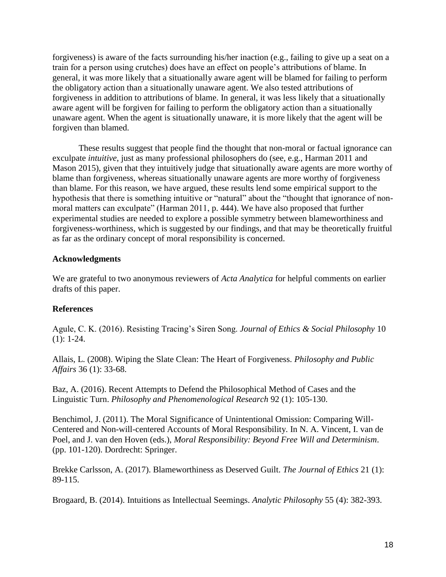forgiveness) is aware of the facts surrounding his/her inaction (e.g., failing to give up a seat on a train for a person using crutches) does have an effect on people's attributions of blame. In general, it was more likely that a situationally aware agent will be blamed for failing to perform the obligatory action than a situationally unaware agent. We also tested attributions of forgiveness in addition to attributions of blame. In general, it was less likely that a situationally aware agent will be forgiven for failing to perform the obligatory action than a situationally unaware agent. When the agent is situationally unaware, it is more likely that the agent will be forgiven than blamed.

These results suggest that people find the thought that non-moral or factual ignorance can exculpate *intuitive*, just as many professional philosophers do (see, e.g., Harman 2011 and Mason 2015), given that they intuitively judge that situationally aware agents are more worthy of blame than forgiveness, whereas situationally unaware agents are more worthy of forgiveness than blame. For this reason, we have argued, these results lend some empirical support to the hypothesis that there is something intuitive or "natural" about the "thought that ignorance of nonmoral matters can exculpate" (Harman 2011, p. 444). We have also proposed that further experimental studies are needed to explore a possible symmetry between blameworthiness and forgiveness-worthiness, which is suggested by our findings, and that may be theoretically fruitful as far as the ordinary concept of moral responsibility is concerned.

### **Acknowledgments**

We are grateful to two anonymous reviewers of *Acta Analytica* for helpful comments on earlier drafts of this paper.

# **References**

Agule, C. K. (2016). Resisting Tracing's Siren Song. *Journal of Ethics & Social Philosophy* 10  $(1): 1-24.$ 

Allais, L. (2008). Wiping the Slate Clean: The Heart of Forgiveness. *Philosophy and Public Affairs* 36 (1): 33-68.

Baz, A. (2016). Recent Attempts to Defend the Philosophical Method of Cases and the Linguistic Turn. *Philosophy and Phenomenological Research* 92 (1): 105-130.

Benchimol, J. (2011). The Moral Significance of Unintentional Omission: Comparing Will-Centered and Non-will-centered Accounts of Moral Responsibility. In N. A. Vincent, I. van de Poel, and J. van den Hoven (eds.), *Moral Responsibility: Beyond Free Will and Determinism*. (pp. 101-120). Dordrecht: Springer.

Brekke Carlsson, A. (2017). Blameworthiness as Deserved Guilt. *The Journal of Ethics* 21 (1): 89-115.

Brogaard, B. (2014). Intuitions as Intellectual Seemings. *Analytic Philosophy* 55 (4): 382-393.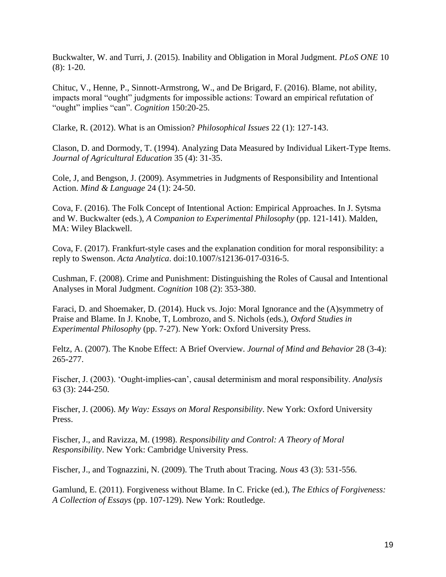Buckwalter, W. and Turri, J. (2015). Inability and Obligation in Moral Judgment. *PLoS ONE* 10 (8): 1-20.

Chituc, V., Henne, P., Sinnott-Armstrong, W., and De Brigard, F. (2016). Blame, not ability, impacts moral "ought" judgments for impossible actions: Toward an empirical refutation of "ought" implies "can". *Cognition* 150:20-25.

Clarke, R. (2012). What is an Omission? *Philosophical Issues* 22 (1): 127-143.

Clason, D. and Dormody, T. (1994). Analyzing Data Measured by Individual Likert-Type Items. *Journal of Agricultural Education* 35 (4): 31-35.

Cole, J, and Bengson, J. (2009). Asymmetries in Judgments of Responsibility and Intentional Action. *Mind & Language* 24 (1): 24-50.

Cova, F. (2016). The Folk Concept of Intentional Action: Empirical Approaches. In J. Sytsma and W. Buckwalter (eds.), *A Companion to Experimental Philosophy* (pp. 121-141). Malden, MA: Wiley Blackwell.

Cova, F. (2017). Frankfurt-style cases and the explanation condition for moral responsibility: a reply to Swenson. *Acta Analytica*. doi:10.1007/s12136-017-0316-5.

Cushman, F. (2008). Crime and Punishment: Distinguishing the Roles of Causal and Intentional Analyses in Moral Judgment. *Cognition* 108 (2): 353-380.

Faraci, D. and Shoemaker, D. (2014). Huck vs. Jojo: Moral Ignorance and the (A)symmetry of Praise and Blame. In J. Knobe, T, Lombrozo, and S. Nichols (eds.), *Oxford Studies in Experimental Philosophy* (pp. 7-27). New York: Oxford University Press.

Feltz, A. (2007). The Knobe Effect: A Brief Overview. *Journal of Mind and Behavior* 28 (3-4): 265-277.

Fischer, J. (2003). 'Ought-implies-can', causal determinism and moral responsibility. *Analysis* 63 (3): 244-250.

Fischer, J. (2006). *My Way: Essays on Moral Responsibility*. New York: Oxford University Press.

Fischer, J., and Ravizza, M. (1998). *Responsibility and Control: A Theory of Moral Responsibility*. New York: Cambridge University Press.

Fischer, J., and Tognazzini, N. (2009). The Truth about Tracing. *Nous* 43 (3): 531-556.

Gamlund, E. (2011). Forgiveness without Blame. In C. Fricke (ed.), *The Ethics of Forgiveness: A Collection of Essays* (pp. 107-129). New York: Routledge.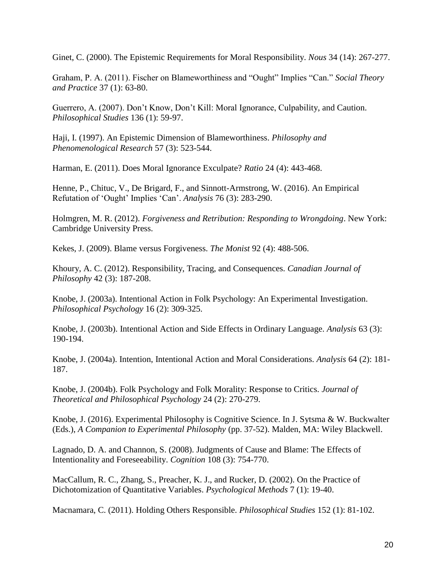Ginet, C. (2000). The Epistemic Requirements for Moral Responsibility. *Nous* 34 (14): 267-277.

Graham, P. A. (2011). Fischer on Blameworthiness and "Ought" Implies "Can." *Social Theory and Practice* 37 (1): 63-80.

Guerrero, A. (2007). Don't Know, Don't Kill: Moral Ignorance, Culpability, and Caution. *Philosophical Studies* 136 (1): 59-97.

Haji, I. (1997). An Epistemic Dimension of Blameworthiness. *Philosophy and Phenomenological Research* 57 (3): 523-544.

Harman, E. (2011). Does Moral Ignorance Exculpate? *Ratio* 24 (4): 443-468.

Henne, P., Chituc, V., De Brigard, F., and Sinnott-Armstrong, W. (2016). An Empirical Refutation of 'Ought' Implies 'Can'. *Analysis* 76 (3): 283-290.

Holmgren, M. R. (2012). *Forgiveness and Retribution: Responding to Wrongdoing*. New York: Cambridge University Press.

Kekes, J. (2009). Blame versus Forgiveness. *The Monist* 92 (4): 488-506.

Khoury, A. C. (2012). Responsibility, Tracing, and Consequences. *Canadian Journal of Philosophy* 42 (3): 187-208.

Knobe, J. (2003a). Intentional Action in Folk Psychology: An Experimental Investigation. *Philosophical Psychology* 16 (2): 309-325.

Knobe, J. (2003b). Intentional Action and Side Effects in Ordinary Language. *Analysis* 63 (3): 190-194.

Knobe, J. (2004a). Intention, Intentional Action and Moral Considerations. *Analysis* 64 (2): 181- 187.

Knobe, J. (2004b). Folk Psychology and Folk Morality: Response to Critics. *Journal of Theoretical and Philosophical Psychology* 24 (2): 270-279.

Knobe, J. (2016). Experimental Philosophy is Cognitive Science. In J. Sytsma & W. Buckwalter (Eds.), *A Companion to Experimental Philosophy* (pp. 37-52). Malden, MA: Wiley Blackwell.

Lagnado, D. A. and Channon, S. (2008). Judgments of Cause and Blame: The Effects of Intentionality and Foreseeability. *Cognition* 108 (3): 754-770.

MacCallum, R. C., Zhang, S., Preacher, K. J., and Rucker, D. (2002). On the Practice of Dichotomization of Quantitative Variables. *Psychological Methods* 7 (1): 19-40.

Macnamara, C. (2011). Holding Others Responsible. *Philosophical Studies* 152 (1): 81-102.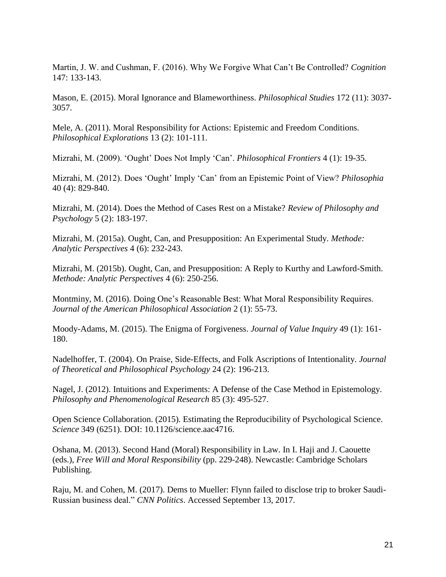Martin, J. W. and Cushman, F. (2016). Why We Forgive What Can't Be Controlled? *Cognition* 147: 133-143.

Mason, E. (2015). Moral Ignorance and Blameworthiness. *Philosophical Studies* 172 (11): 3037- 3057.

Mele, A. (2011). Moral Responsibility for Actions: Epistemic and Freedom Conditions. *Philosophical Explorations* 13 (2): 101-111.

Mizrahi, M. (2009). 'Ought' Does Not Imply 'Can'. *Philosophical Frontiers* 4 (1): 19-35.

Mizrahi, M. (2012). Does 'Ought' Imply 'Can' from an Epistemic Point of View? *Philosophia* 40 (4): 829-840.

Mizrahi, M. (2014). Does the Method of Cases Rest on a Mistake? *Review of Philosophy and Psychology* 5 (2): 183-197.

Mizrahi, M. (2015a). Ought, Can, and Presupposition: An Experimental Study. *Methode: Analytic Perspectives* 4 (6): 232-243.

Mizrahi, M. (2015b). Ought, Can, and Presupposition: A Reply to Kurthy and Lawford-Smith. *Methode: Analytic Perspectives* 4 (6): 250-256.

Montminy, M. (2016). Doing One's Reasonable Best: What Moral Responsibility Requires. *Journal of the American Philosophical Association* 2 (1): 55-73.

Moody-Adams, M. (2015). The Enigma of Forgiveness. *Journal of Value Inquiry* 49 (1): 161- 180.

Nadelhoffer, T. (2004). On Praise, Side-Effects, and Folk Ascriptions of Intentionality. *Journal of Theoretical and Philosophical Psychology* 24 (2): 196-213.

Nagel, J. (2012). Intuitions and Experiments: A Defense of the Case Method in Epistemology. *Philosophy and Phenomenological Research* 85 (3): 495-527.

Open Science Collaboration. (2015). Estimating the Reproducibility of Psychological Science. *Science* 349 (6251). DOI: 10.1126/science.aac4716.

Oshana, M. (2013). Second Hand (Moral) Responsibility in Law. In I. Haji and J. Caouette (eds.), *Free Will and Moral Responsibility* (pp. 229-248). Newcastle: Cambridge Scholars Publishing.

Raju, M. and Cohen, M. (2017). Dems to Mueller: Flynn failed to disclose trip to broker Saudi-Russian business deal." *CNN Politics*. Accessed September 13, 2017.